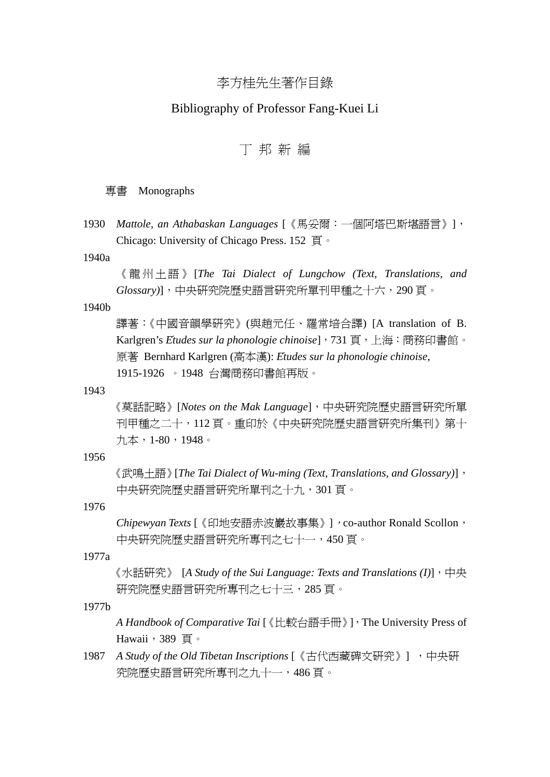# 李方桂先生著作目錄

## Bibliography of Professor Fang-Kuei Li

# 丁 邦 新 編

### 專書 Monographs

1930 *Mattole, an Athabaskan Languages* [《馬妥爾:一個阿塔巴斯堪語言》], Chicago: University of Chicago Press. 152 頁。

#### 1940a

《龍州土語》 [*The Tai Dialect of Lungchow (Text, Translations, and Glossary)*],中央研究院歷史語言研究所單刊甲種之十六,290 頁。

## 1940b

譯著:《中國音韻學研究》(與趙元任、羅常培合譯) [A translation of B. Karlgren's *Etudes sur la phonologie chinoise*],731 頁,上海:商務印書館。 原著 Bernhard Karlgren (高本漢): *Etudes sur la phonologie chinoise*, 1915-1926 。1948 台灣商務印書館再版。

#### 1943

《莫話記略》[*Notes on the Mak Language*],中央研究院歷史語言研究所單 刊甲種之二十,112 頁。重印於《中央研究院歷史語言研究所集刊》第十 九本,1-80,1948。

#### 1956

 《武鳴土語》[*The Tai Dialect of Wu-ming (Text, Translations, and Glossary)*], 中央研究院歷史語言研究所單刊之十九,301 頁。

#### 1976

Chipewyan Texts [《印地安語赤波巖故事集》], co-author Ronald Scollon, 中央研究院歷史語言研究所專刊之七十一,450頁。

#### 1977a

 《水話研究》 [*A Study of the Sui Language: Texts and Translations (I)*],中央 研究院歷史語言研究所專刊之七十三,285頁。

1977b

 *A Handbook of Comparative Tai* [《比較台語手冊》],The University Press of Hawaii, 389 頁。

1987 A Study of the Old Tibetan Inscriptions [《古代西藏碑文研究》] , 中央研 究院歷史語言研究所專刊之九十一,486 頁。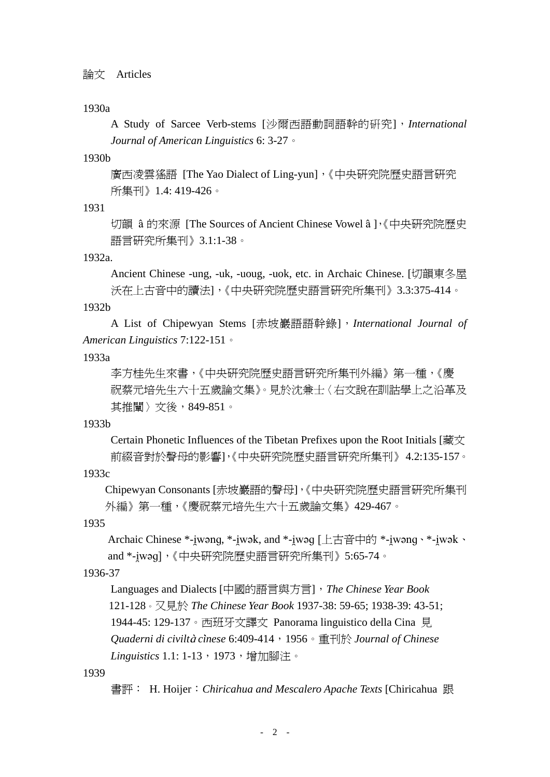#### 論文 Articles

## 1930a

A Study of Sarcee Verb-stems [沙爾西語動詞語幹的硏究],*International Journal of American Linguistics* 6: 3-27。

### 1930b

廣西凌雲猺語 [The Yao Dialect of Ling-yun],《中央研究院歷史語言研究 所集刊》1.4: 419-426。

1931

切韻 a 的來源 [The Sources of Ancient Chinese Vowel a ],《中央研究院歷史 語言研究所集刊》3.1:1-38。

1932a.

 Ancient Chinese -ung, -uk, -uoug, -uok, etc. in Archaic Chinese. [切韻東冬屋 沃在上古音中的讀法],《中央研究院歷史語言研究所集刊》3.3:375-414。

#### 1932b

A List of Chipewyan Stems [赤坡巖語語幹錄],*International Journal of American Linguistics* 7:122-151。

#### 1933a

 李方桂先生來書,《中央研究院歷史語言研究所集刊外編》第一種,《慶 祝蔡元培先生六十五歲論文集》。見於沈兼士〈右文說在訓詁學上之沿革及 其推闡〉文後,849-851。

#### 1933b

Certain Phonetic Influences of the Tibetan Prefixes upon the Root Initials [藏文 前綴音對於聲母的影響],《中央研究院歷史語言研究所集刊》 4.2:135-157。

1933c

Chipewyan Consonants [赤坡巖語的聲母],《中央研究院歷史語言研究所集刊 外編》第一種,《慶祝蔡元培先生六十五歲論文集》429-467。

1935

Archaic Chinese \*-iwong, \*-iwok, and \*-iwoq [上古音中的 \*-iwong、\*-iwok、 and \*-iwəq],《中央研究院歷史語言研究所集刊》5:65-74。

1936-37

 Languages and Dialects [中國的語言與方言],*The Chinese Year Book* 121-128。又見於 *The Chinese Year Book* 1937-38: 59-65; 1938-39: 43-51; 1944-45: 129-137。西班牙文譯文 Panorama linguistico della Cina 見 *Quaderni di civilt cinese* 6:409-414,1956。重刊於 *Journal of Chinese*  Linguistics 1.1: 1-13, 1973, 增加腳注。

1939

書評: H. Hoijer: *Chiricahua and Mescalero Apache Texts* [Chiricahua 跟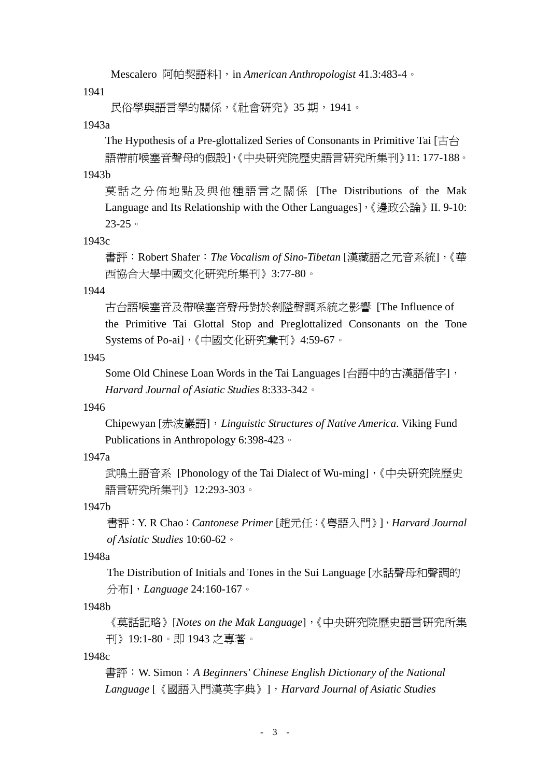Mescalero 阿帕契語料], in *American Anthropologist* 41.3:483-4。

1941

民俗學與語言學的關係,《社會研究》35 期,1941。

1943a

The Hypothesis of a Pre-glottalized Series of Consonants in Primitive Tai [古台 語帶前喉塞音聲母的假設],《中央研究院歷史語言研究所集刊》11: 177-188。

1943b

莫話之分佈地點及與他種語言之關係 [The Distributions of the Mak Language and Its Relationship with the Other Languages], 《邊政公論》II. 9-10: 23-25。

#### 1943c

 書評:Robert Shafer:*The Vocalism of Sino-Tibetan* [漢藏語之元音系統],《華 西協合大學中國文化研究所集刊》3:77-80。

1944

古台語喉塞音及帶喉塞音聲母對於剝隘聲調系統之影響 [The Influence of the Primitive Tai Glottal Stop and Preglottalized Consonants on the Tone Systems of Po-ai],《中國文化研究彙刊》4:59-67。

#### 1945

 Some Old Chinese Loan Words in the Tai Languages [台語中的古漢語借字],  *Harvard Journal of Asiatic Studies* 8:333-342。

### 1946

 Chipewyan [赤波巖語],*Linguistic Structures of Native America*. Viking Fund Publications in Anthropology 6:398-423。

## 1947a

武鳴土語音系 [Phonology of the Tai Dialect of Wu-ming],《中央研究院歷史 語言研究所集刊》12:293-303。

#### 1947b

 書評:Y. R Chao:*Cantonese Primer* [趙元任:《粵語入門》],*Harvard Journal of Asiatic Studies* 10:60-62。

#### 1948a

The Distribution of Initials and Tones in the Sui Language [水話聲母和聲調的 分布],*Language* 24:160-167。

1948b

《莫話記略》[*Notes on the Mak Language*],《中央研究院歷史語言研究所集 刊》19:1-80。即 1943 之專著。

1948c

書評:W. Simon:*A Beginners' Chinese English Dictionary of the National Language* [《國語入門漢英字典》],*Harvard Journal of Asiatic Studies*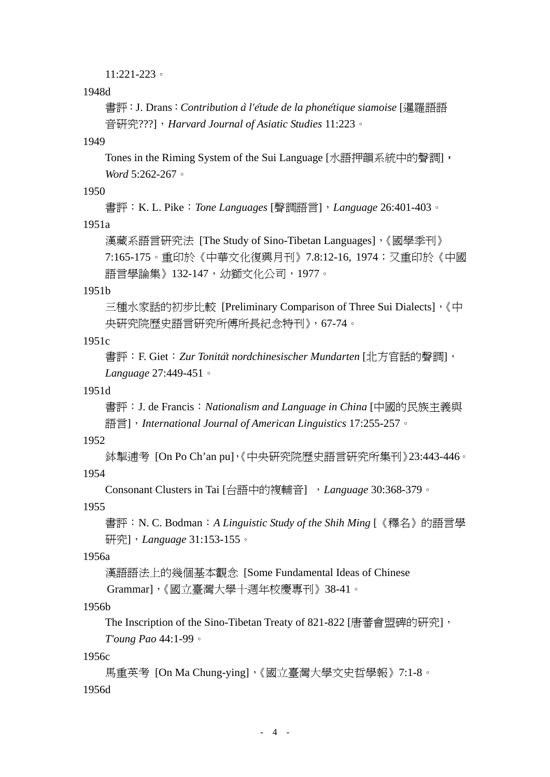11:221-223。

1948d

 書評:J. Drans:*Contribution a l'etude de la phonetique siamoise* [暹羅語語 音研究???],*Harvard Journal of Asiatic Studies* 11:223。

1949

Tones in the Riming System of the Sui Language [水語押韻系統中的聲調], *Word* 5:262-267。

## 1950

書評:K. L. Pike:*Tone Languages* [聲調語言],*Language* 26:401-403。

1951a

 漢藏系語言研究法 [The Study of Sino-Tibetan Languages],《國學季刊》 7:165-175。重印於《中華文化復興月刊》7.8:12-16, 1974;又重印於《中國 語言學論集》132-147,幼獅文化公司,1977。

1951b

三種水家話的初步比較 [Preliminary Comparison of Three Sui Dialects],《中 央研究院歷史語言研究所傅所長紀念特刊》,67-74。

1951c

```
 書評:F. Giet:Zur Tonitat nordchinesischer Mundarten [北方官話的聲調], 
Language 27:449-451。
```
1951d

 書評:J. de Francis:*Nationalism and Language in China* [中國的民族主義與 語言],*International Journal of American Linguistics* 17:255-257。

## 1952

掣逋考 [On Po Ch'an pu],《中央研究院歷史語言研究所集刊》23:443-446。 1954

Consonant Clusters in Tai [台語中的複輔音] ,*Language* 30:368-379。

1955

 書評:N. C. Bodman:*A Linguistic Study of the Shih Ming* [《釋名》的語言學 研究],*Language* 31:153-155。

1956a

漢語語法上的幾個基本觀念 [Some Fundamental Ideas of Chinese

Grammar],《國立臺灣大學十週年校慶專刊》38-41。

1956b

The Inscription of the Sino-Tibetan Treaty of 821-822 [唐蕃會盟碑的研究], *T'oung Pao* 44:1-99。

1956c

馬重英考 [On Ma Chung-ying],《國立臺灣大學文史哲學報》7:1-8。 1956d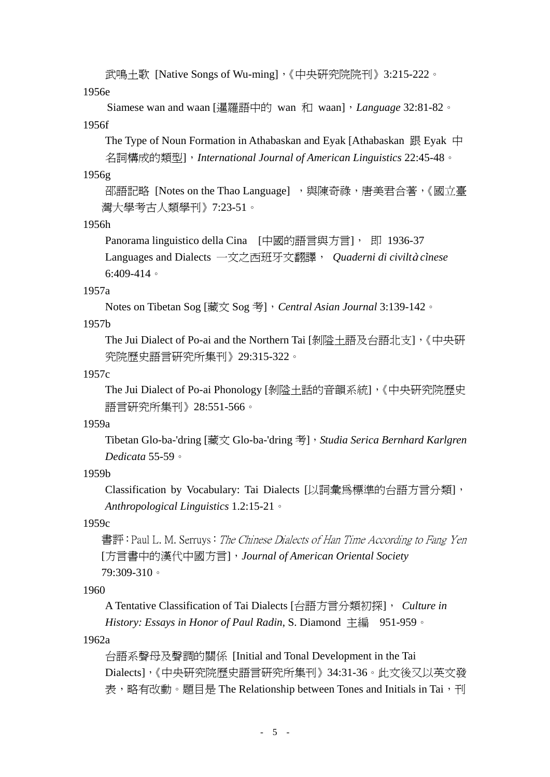武鳴土歌 [Native Songs of Wu-ming],《中央研究院院刊》3:215-222。

1956e

 Siamese wan and waan [暹羅語中的 wan 和 waan],*Language* 32:81-82。 1956f

The Type of Noun Formation in Athabaskan and Eyak [Athabaskan 跟 Eyak 中 名詞構成的類型],*International Journal of American Linguistics* 22:45-48。

1956g

邵語記略 [Notes on the Thao Language], 與陳奇祿, 唐美君合著, 《國立臺 灣大學考古人類學刊》7:23-51。

1956h

Panorama linguistico della Cina [中國的語言與方言], 即 1936-37 Languages and Dialects 一文之西班牙文翻譯, Quaderni di civiltà cinese 6:409-414。

1957a

Notes on Tibetan Sog [藏文 Sog 考],*Central Asian Journal* 3:139-142。

1957b

The Jui Dialect of Po-ai and the Northern Tai [剝隘土語及台語北支],《中央研 究院歷史語言研究所集刊》29:315-322。

1957c

The Jui Dialect of Po-ai Phonology [剝隘土話的音韻系統],《中央研究院歷史 語言研究所集刊》28:551-566。

1959a

Tibetan Glo-ba-'dring [藏文 Glo-ba-'dring 考],*Studia Serica Bernhard Karlgren Dedicata* 55-59。

1959b

Classification by Vocabulary: Tai Dialects [以詞彙為標準的台語方言分類], *Anthropological Linguistics* 1.2:15-21。

1959c

書評: Paul L. M. Serruys: *The Chinese Dialects of Han Time According to Fang Yen* [方言書中的漢代中國方言],*Journal of American Oriental Society*  79:309-310。

1960

A Tentative Classification of Tai Dialects [台語方言分類初探], *Culture in History: Essays in Honor of Paul Radin*, S. Diamond 主編 951-959。

1962a

台語系聲母及聲調的關係 [Initial and Tonal Development in the Tai Dialects],《中央研究院歷史語言研究所集刊》34:31-36。此文後又以英文發 表,略有改動。題目是 The Relationship between Tones and Initials in Tai,刊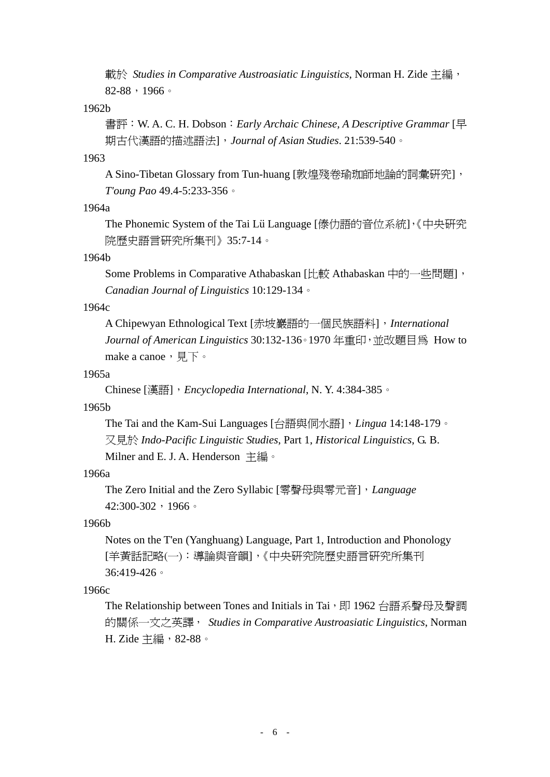載於 *Studies in Comparative Austroasiatic Linguistics*, Norman H. Zide 主編,  $82-88$ , 1966。

1962b

書評:W. A. C. H. Dobson:*Early Archaic Chinese, A Descriptive Grammar* [早 期古代漢語的描述語法],*Journal of Asian Studies*. 21:539-540。

1963

A Sino-Tibetan Glossary from Tun-huang [敦煌殘卷瑜珈師地論的詞彙研究], *T'oung Pao* 49.4-5:233-356。

1964a

The Phonemic System of the Tai Lü Language [傣仂語的音位系統],《中央研究 院歷史語言研究所集刊》35:7-14。

## 1964b

Some Problems in Comparative Athabaskan [比較 Athabaskan 中的一些問題], *Canadian Journal of Linguistics* 10:129-134。

## 1964c

A Chipewyan Ethnological Text [赤坡巖語的一個民族語料],*International Journal of American Linguistics* 30:132-136。1970 年重印,並改題目為 How to make a canoe, 見下。

## 1965a

Chinese [漢語],*Encyclopedia International*, N. Y. 4:384-385。

## 1965b

The Tai and the Kam-Sui Languages [台語與侗水語],*Lingua* 14:148-179。 又見於 *Indo-Pacific Linguistic Studies*, Part 1, *Historical Linguistics*, G. B. Milner and E. J. A. Henderson 主編。

## 1966a

 The Zero Initial and the Zero Syllabic [零聲母與零元音],*Language* 42:300-302,1966。

## 1966b

Notes on the T'en (Yanghuang) Language, Part 1, Introduction and Phonology [羊黃話記略(一):導論與音韻],《中央研究院歷史語言研究所集刊 36:419-426。

## 1966c

The Relationship between Tones and Initials in Tai,即 1962 台語系聲母及聲調 的關係一文之英譯, *Studies in Comparative Austroasiatic Linguistics*, Norman H. Zide 主編, 82-88。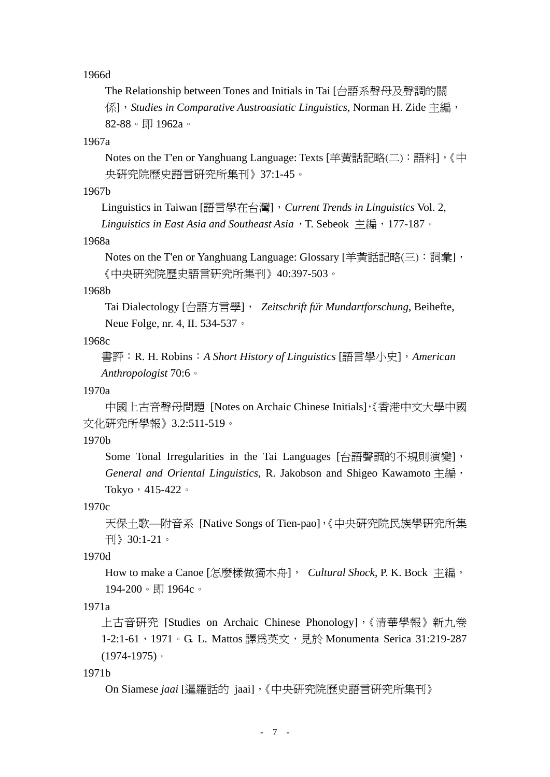1966d

The Relationship between Tones and Initials in Tai [台語系聲母及聲調的關 係],*Studies in Comparative Austroasiatic Linguistics*, Norman H. Zide 主編, 82-88。即 1962a。

1967a

Notes on the T'en or Yanghuang Language: Texts [羊黃話記略(二): 語料], 《中 央研究院歷史語言研究所集刊》37:1-45。

1967b

Linguistics in Taiwan [語言學在台灣],*Current Trends in Linguistics* Vol. 2,

Linguistics in East Asia and Southeast Asia, T. Sebeok 主編, 177-187。

1968a

Notes on the T'en or Yanghuang Language: Glossary [羊黃話記略(三): 詞彙], 《中央研究院歷史語言研究所集刊》40:397-503。

#### 1968b

 Tai Dialectology [台語方言學], *Zeitschrift fur Mundartforschung*, Beihefte, Neue Folge, nr. 4, II. 534-537。

1968c

書評: R. H. Robins: *A Short History of Linguistics* [語言學小史], *American Anthropologist* 70:6。

1970a

中國上古音聲母問題 [Notes on Archaic Chinese Initials],《香港中文大學中國 文化研究所學報》3.2:511-519。

1970b

Some Tonal Irregularities in the Tai Languages [台語聲調的不規則演變], *General and Oriental Linguistics*, R. Jakobson and Shigeo Kawamoto 主編, Tokyo, 415-422。

1970c

天保土歌—附音系 [Native Songs of Tien-pao],《中央研究院民族學研究所集 刊》30:1-21。

1970d

How to make a Canoe [怎麼樣做獨木舟], *Cultural Shock*, P. K. Bock 主編, 194-200。即 1964c。

1971a

上古音研究 [Studies on Archaic Chinese Phonology],《清華學報》新九卷 1-2:1-61, 1971。G. L. Mattos 譯為英文, 見於 Monumenta Serica 31:219-287 (1974-1975)。

1971b

On Siamese *jaai* [暹羅話的 jaai],《中央研究院歷史語言研究所集刊》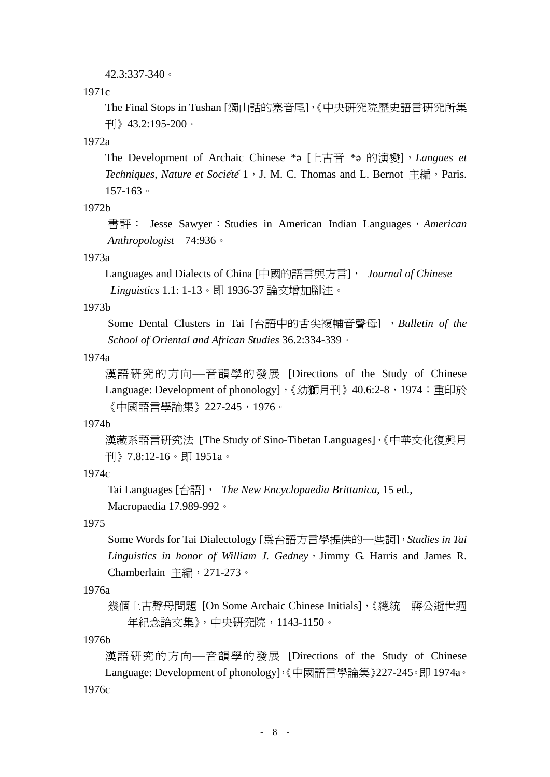#### 42.3:337-340。

#### 1971c

The Final Stops in Tushan [獨山話的塞音尾],《中央研究院歷史語言研究所集 刊》43.2:195-200。

## 1972a

The Development of Archaic Chinese \*a [上古音 \*a 的演變], *Langues et Techniques, Nature et Société* 1, J. M. C. Thomas and L. Bernot 主編, Paris. 157-163。

## 1972b

書評: Jesse Sawyer: Studies in American Indian Languages, *American Anthropologist* 74:936。

## 1973a

 Languages and Dialects of China [中國的語言與方言], *Journal of Chinese Linguistics* 1.1: 1-13。即 1936-37 論文增加腳注。

## 1973b

Some Dental Clusters in Tai [台語中的舌尖複輔音聲母] ,*Bulletin of the School of Oriental and African Studies* 36.2:334-339。

#### 1974a

漢語研究的方向—音韻學的發展 [Directions of the Study of Chinese Language: Development of phonology], 《幼獅月刊》40.6:2-8, 1974; 重印於 《中國語言學論集》227-245,1976。

### 1974b

漢藏系語言研究法 [The Study of Sino-Tibetan Languages],《中華文化復興月 刊》7.8:12-16。即 1951a。

## 1974c

Tai Languages [台語], *The New Encyclopaedia Brittanica*, 15 ed., Macropaedia 17.989-992。

#### 1975

Some Words for Tai Dialectology [為台語方言學提供的一些詞],*Studies in Tai Linguistics in honor of William J. Gedney*, Jimmy G. Harris and James R. Chamberlain 主編,271-273。

## 1976a

幾個上古聲母問題 [On Some Archaic Chinese Initials],《總統 蔣公逝世週 年紀念論文集》,中央研究院,1143-1150。

#### 1976b

漢語研究的方向—音韻學的發展 [Directions of the Study of Chinese Language: Development of phonology],《中國語言學論集》227-245。即 1974a。 1976c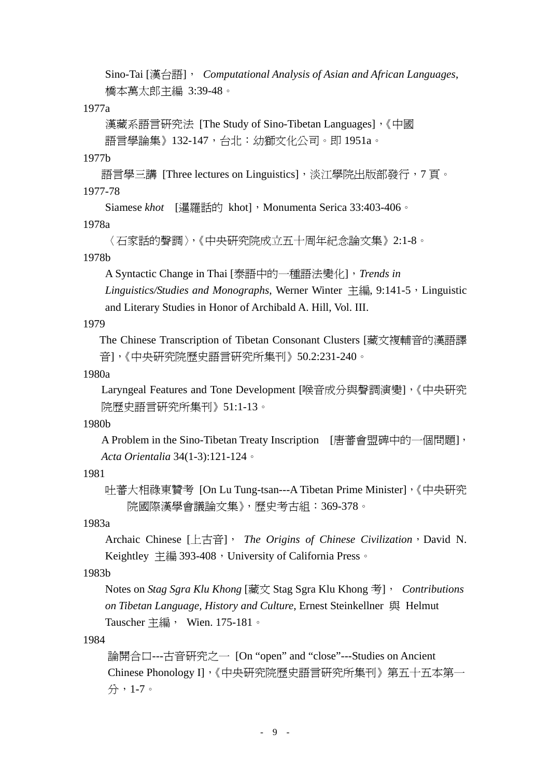Sino-Tai [漢台語], *Computational Analysis of Asian and African Languages*, 橋本萬太郎主編 3:39-48。

## 1977a

漢藏系語言研究法 [The Study of Sino-Tibetan Languages],《中國 語言學論集》132-147,台北:幼獅文化公司。即 1951a。

## 1977b

語言學三講 [Three lectures on Linguistics],淡江學院出版部發行,7 頁。 1977-78

Siamese *khot* [暹羅話的 khot], Monumenta Serica 33:403-406。

## 1978a

```
〈石家話的聲調〉,《中央研究院成立五十周年紀念論文集》2:1-8。
```
## 1978b

A Syntactic Change in Thai [泰語中的一種語法變化],*Trends in* 

Linguistics/Studies and Monographs, Werner Winter 主編, 9:141-5, Linguistic and Literary Studies in Honor of Archibald A. Hill, Vol. III.

## 1979

The Chinese Transcription of Tibetan Consonant Clusters [藏文複輔音的漢語譯 音],《中央研究院歷史語言研究所集刊》50.2:231-240。

## 1980a

Laryngeal Features and Tone Development [喉音成分與聲調演變],《中央研究 院歷史語言研究所集刊》51:1-13。

## 1980b

A Problem in the Sino-Tibetan Treaty Inscription [唐蕃會盟碑中的一個問題], *Acta Orientalia* 34(1-3):121-124。

## 1981

吐蕃大相祿東贊考 [On Lu Tung-tsan---A Tibetan Prime Minister],《中央研究 院國際漢學會議論文集》,歷史考古組:369-378。

## 1983a

Archaic Chinese [上古音], *The Origins of Chinese Civilization*, David N. Keightley 主編 393-408, University of California Press。

## 1983b

Notes on *Stag Sgra Klu Khong* [藏文 Stag Sgra Klu Khong 考], *Contributions on Tibetan Language, History and Culture*, Ernest Steinkellner 與 Helmut Tauscher 主編, Wien. 175-181。

## 1984

論開合口---古音研究之一 [On "open" and "close"---Studies on Ancient Chinese Phonology I],《中央研究院歷史語言研究所集刊》第五十五本第一 分,1-7。